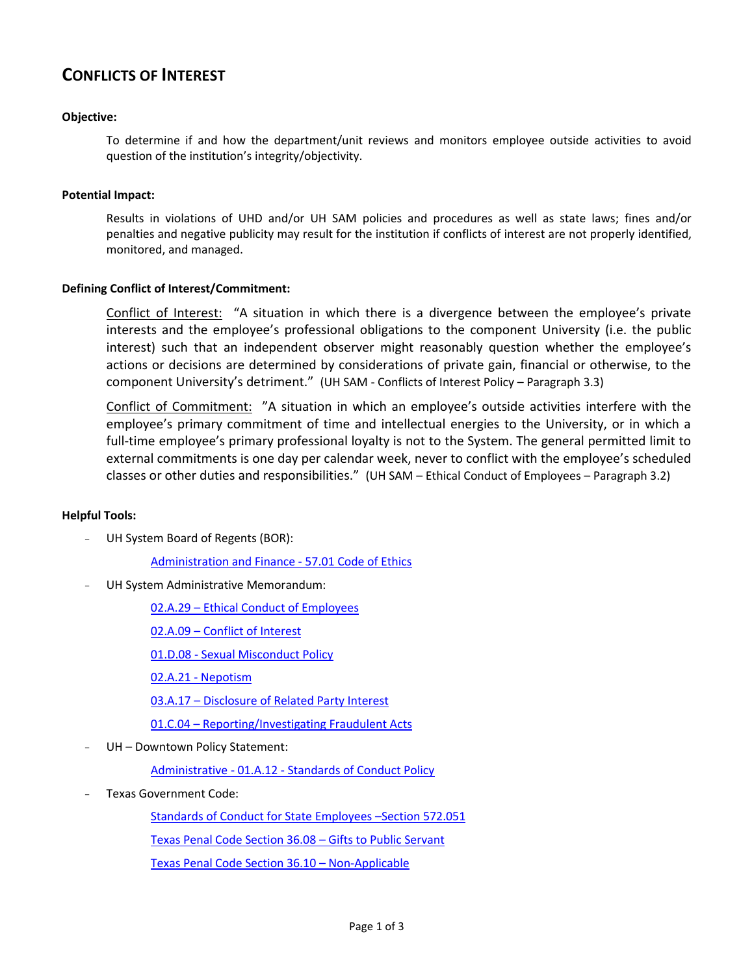# **CONFLICTS OF INTEREST**

## **Objective:**

To determine if and how the department/unit reviews and monitors employee outside activities to avoid question of the institution's integrity/objectivity.

### **Potential Impact:**

Results in violations of UHD and/or UH SAM policies and procedures as well as state laws; fines and/or penalties and negative publicity may result for the institution if conflicts of interest are not properly identified, monitored, and managed.

## **Defining Conflict of Interest/Commitment:**

Conflict of Interest: "A situation in which there is a divergence between the employee's private interests and the employee's professional obligations to the component University (i.e. the public interest) such that an independent observer might reasonably question whether the employee's actions or decisions are determined by considerations of private gain, financial or otherwise, to the component University's detriment." (UH SAM - Conflicts of Interest Policy – Paragraph 3.3)

Conflict of Commitment: "A situation in which an employee's outside activities interfere with the employee's primary commitment of time and intellectual energies to the University, or in which a full-time employee's primary professional loyalty is not to the System. The general permitted limit to external commitments is one day per calendar week, never to conflict with the employee's scheduled classes or other duties and responsibilities." (UH SAM – Ethical Conduct of Employees – Paragraph 3.2)

#### **Helpful Tools:**

UH System Board of Regents (BOR):

[Administration and Finance ‐ 57.01 Code of Ethics](http://www.uhsystem.edu/board-of-regents/code-of-ethics/index.php)

UH System Administrative Memorandum:

02.A.29 – [Ethical Conduct of Employees](http://www.uhsa.uh.edu/sam/2HumanResources/2A29.pdf)

02.A.09 – [Conflict of Interest](http://www.uhsa.uh.edu/sam/2HumanResources/2A9.pdf) 

[01.D.08 ‐ Sexual Misconduct Policy](http://www.uh.edu/af/universityservices/policies/sam/1GenAdmin/1D8.pdf)

02.A.21 [‐ Nepotism](http://www.uh.edu/af/universityservices/policies/sam/2HumanResources/2A21.pdf)

03.A.17 – [Disclosure of Related Party Interest](http://www.uhsa.uh.edu/sam/3FicsalAffairs/3A17.pdf)

01.C.04 – [Reporting/Investigating Fraudulent Acts](http://www.uh.edu/af/universityservices/policies/approved/sam/08/01C04_06092009.pdf)

UH - Downtown Policy Statement:

Administrative - 01.A.12 - [Standards of Conduct Policy](http://www.uhd.edu/about/hr/PS01A12.pdf)

- Texas Government Code:

[Standards of Conduct for State Employees](http://codes.lp.findlaw.com/txstatutes/GV/5/B/572/C/572.051) –Section 572.051

[Texas Penal Code Section 36.08](http://codes.lp.findlaw.com/txstatutes/PE/8/36/36.08) – Gifts to Public Servant

[Texas Penal Code Section 36.10](http://codes.lp.findlaw.com/txstatutes/PE/8/36/36.10) – Non-Applicable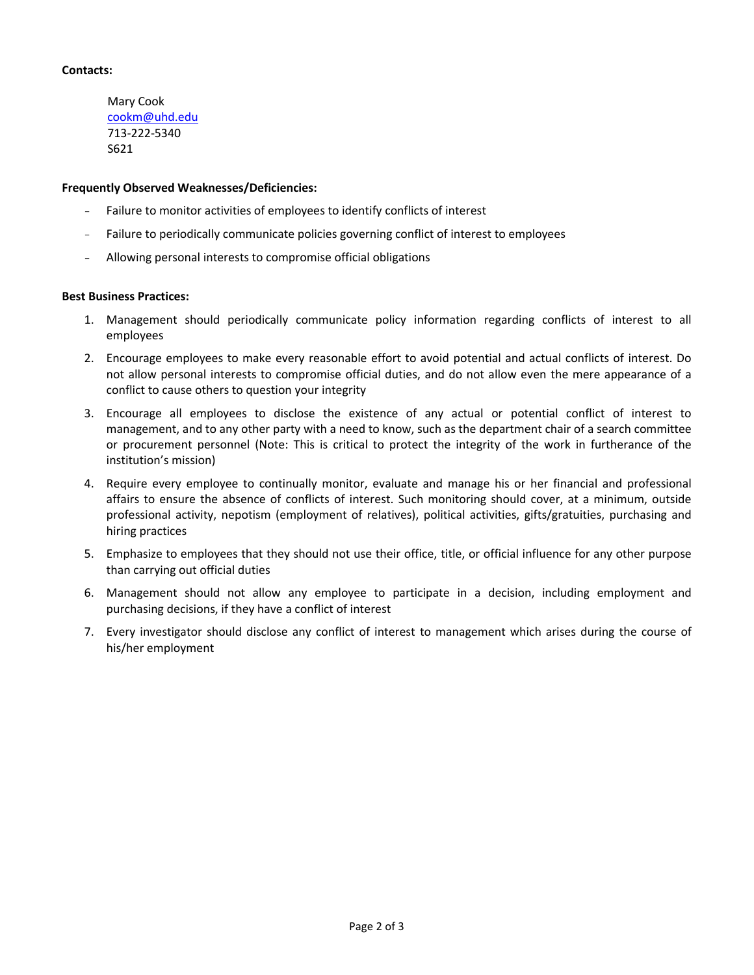## **Contacts:**

Mary Cook [cookm@uhd.edu](mailto:cookm@uhd.edu) 713-222-5340 S621

#### **Frequently Observed Weaknesses/Deficiencies:**

- Failure to monitor activities of employees to identify conflicts of interest
- Failure to periodically communicate policies governing conflict of interest to employees
- Allowing personal interests to compromise official obligations

#### **Best Business Practices:**

- 1. Management should periodically communicate policy information regarding conflicts of interest to all employees
- 2. Encourage employees to make every reasonable effort to avoid potential and actual conflicts of interest. Do not allow personal interests to compromise official duties, and do not allow even the mere appearance of a conflict to cause others to question your integrity
- 3. Encourage all employees to disclose the existence of any actual or potential conflict of interest to management, and to any other party with a need to know, such as the department chair of a search committee or procurement personnel (Note: This is critical to protect the integrity of the work in furtherance of the institution's mission)
- 4. Require every employee to continually monitor, evaluate and manage his or her financial and professional affairs to ensure the absence of conflicts of interest. Such monitoring should cover, at a minimum, outside professional activity, nepotism (employment of relatives), political activities, gifts/gratuities, purchasing and hiring practices
- 5. Emphasize to employees that they should not use their office, title, or official influence for any other purpose than carrying out official duties
- 6. Management should not allow any employee to participate in a decision, including employment and purchasing decisions, if they have a conflict of interest
- 7. Every investigator should disclose any conflict of interest to management which arises during the course of his/her employment